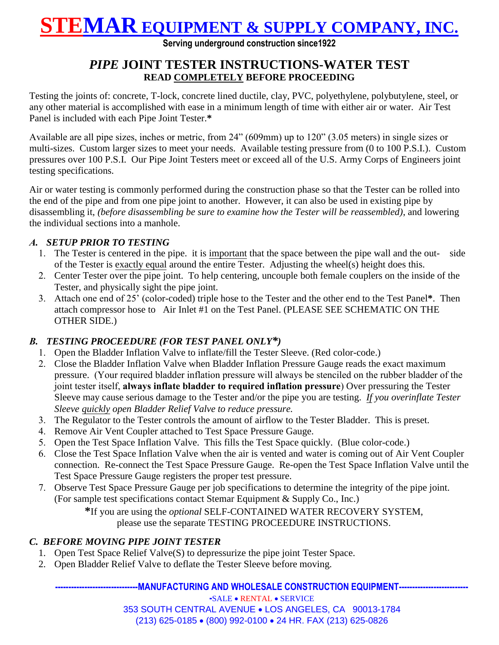## **STEMAR EQUIPMENT & SUPPLY COMPANY, INC.**

**Serving underground construction since1922**

### *PIPE* **JOINT TESTER INSTRUCTIONS-WATER TEST READ COMPLETELY BEFORE PROCEEDING**

Testing the joints of: concrete, T-lock, concrete lined ductile, clay, PVC, polyethylene, polybutylene, steel, or any other material is accomplished with ease in a minimum length of time with either air or water. Air Test Panel is included with each Pipe Joint Tester.**\***

Available are all pipe sizes, inches or metric, from 24" (609mm) up to 120" (3.05 meters) in single sizes or multi-sizes. Custom larger sizes to meet your needs. Available testing pressure from (0 to 100 P.S.I.). Custom pressures over 100 P.S.I. Our Pipe Joint Testers meet or exceed all of the U.S. Army Corps of Engineers joint testing specifications.

Air or water testing is commonly performed during the construction phase so that the Tester can be rolled into the end of the pipe and from one pipe joint to another. However, it can also be used in existing pipe by disassembling it, *(before disassembling be sure to examine how the Tester will be reassembled)*, and lowering the individual sections into a manhole.

#### *A. SETUP PRIOR TO TESTING*

- 1. The Tester is centered in the pipe. it is important that the space between the pipe wall and the out- side of the Tester is exactly equal around the entire Tester. Adjusting the wheel(s) height does this.
- 2. Center Tester over the pipe joint. To help centering, uncouple both female couplers on the inside of the Tester, and physically sight the pipe joint.
- 3. Attach one end of 25' (color-coded) triple hose to the Tester and the other end to the Test Panel**\***. Then attach compressor hose to Air Inlet #1 on the Test Panel. (PLEASE SEE SCHEMATIC ON THE OTHER SIDE.)

#### *B. TESTING PROCEEDURE (FOR TEST PANEL ONLY\*)*

- 1. Open the Bladder Inflation Valve to inflate/fill the Tester Sleeve. (Red color-code.)
- 2. Close the Bladder Inflation Valve when Bladder Inflation Pressure Gauge reads the exact maximum pressure. (Your required bladder inflation pressure will always be stenciled on the rubber bladder of the joint tester itself, **always inflate bladder to required inflation pressure**) Over pressuring the Tester Sleeve may cause serious damage to the Tester and/or the pipe you are testing. *If you overinflate Tester Sleeve quickly open Bladder Relief Valve to reduce pressure.*
- 3. The Regulator to the Tester controls the amount of airflow to the Tester Bladder. This is preset.
- 4. Remove Air Vent Coupler attached to Test Space Pressure Gauge.
- 5. Open the Test Space Inflation Valve. This fills the Test Space quickly. (Blue color-code.)
- 6. Close the Test Space Inflation Valve when the air is vented and water is coming out of Air Vent Coupler connection. Re-connect the Test Space Pressure Gauge. Re-open the Test Space Inflation Valve until the Test Space Pressure Gauge registers the proper test pressure.
- 7. Observe Test Space Pressure Gauge per job specifications to determine the integrity of the pipe joint. (For sample test specifications contact Stemar Equipment & Supply Co., Inc.)

**\***If you are using the *optional* SELF-CONTAINED WATER RECOVERY SYSTEM, please use the separate TESTING PROCEEDURE INSTRUCTIONS.

### *C. BEFORE MOVING PIPE JOINT TESTER*

- 1. Open Test Space Relief Valve(S) to depressurize the pipe joint Tester Space.
- 2. Open Bladder Relief Valve to deflate the Tester Sleeve before moving.

#### **MANUFACTURING AND WHOLESALE CONSTRUCTION EQUIPMENT----**

**-SALE • RENTAL • SERVICE** 

353 SOUTH CENTRAL AVENUE LOS ANGELES, CA 90013-1784 (213) 625-0185 (800) 992-0100 24 HR. FAX (213) 625-0826